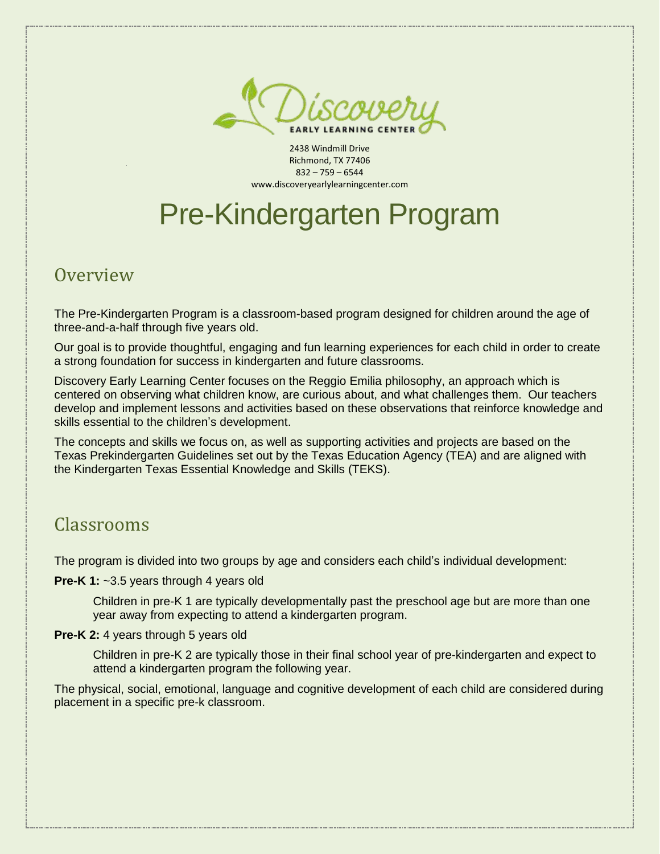

2438 Windmill Drive Richmond, TX 77406 832 – 759 – 6544 www.discoveryearlylearningcenter.com

# Pre-Kindergarten Program

**Overview** 

The Pre-Kindergarten Program is a classroom-based program designed for children around the age of three-and-a-half through five years old.

Our goal is to provide thoughtful, engaging and fun learning experiences for each child in order to create a strong foundation for success in kindergarten and future classrooms.

Discovery Early Learning Center focuses on the Reggio Emilia philosophy, an approach which is centered on observing what children know, are curious about, and what challenges them. Our teachers develop and implement lessons and activities based on these observations that reinforce knowledge and skills essential to the children's development.

The concepts and skills we focus on, as well as supporting activities and projects are based on the Texas Prekindergarten Guidelines set out by the Texas Education Agency (TEA) and are aligned with the Kindergarten Texas Essential Knowledge and Skills (TEKS).

#### Classrooms

The program is divided into two groups by age and considers each child's individual development:

**Pre-K 1:** ~3.5 years through 4 years old

Children in pre-K 1 are typically developmentally past the preschool age but are more than one year away from expecting to attend a kindergarten program.

#### **Pre-K 2:** 4 years through 5 years old

Children in pre-K 2 are typically those in their final school year of pre-kindergarten and expect to attend a kindergarten program the following year.

The physical, social, emotional, language and cognitive development of each child are considered during placement in a specific pre-k classroom.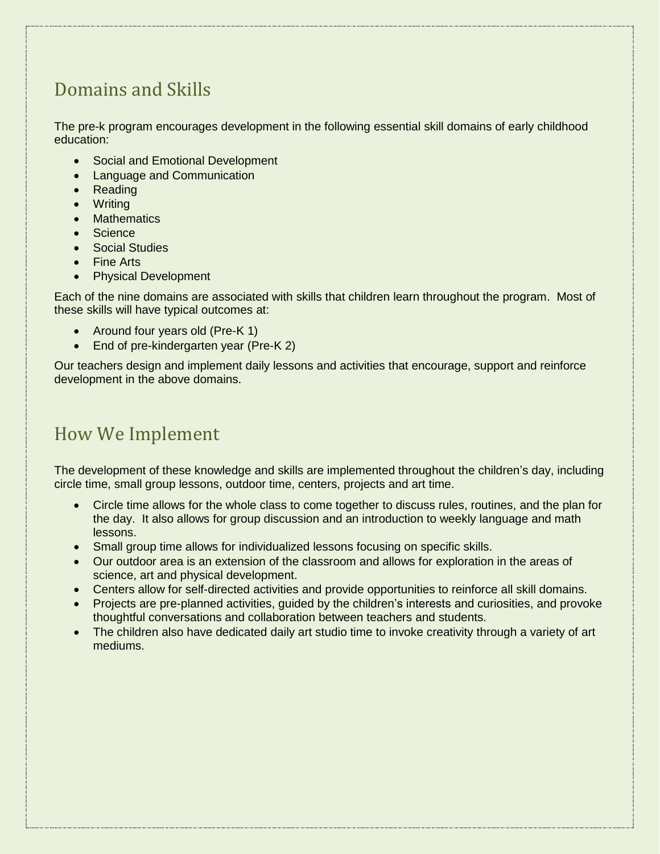## Domains and Skills

The pre-k program encourages development in the following essential skill domains of early childhood education:

- Social and Emotional Development
- Language and Communication
- Reading
- Writing
- **Mathematics**
- Science
- Social Studies
- Fine Arts
- Physical Development

Each of the nine domains are associated with skills that children learn throughout the program. Most of these skills will have typical outcomes at:

- Around four years old (Pre-K 1)
- End of pre-kindergarten year (Pre-K 2)

Our teachers design and implement daily lessons and activities that encourage, support and reinforce development in the above domains.

#### How We Implement

The development of these knowledge and skills are implemented throughout the children's day, including circle time, small group lessons, outdoor time, centers, projects and art time.

- Circle time allows for the whole class to come together to discuss rules, routines, and the plan for the day. It also allows for group discussion and an introduction to weekly language and math lessons.
- Small group time allows for individualized lessons focusing on specific skills.
- Our outdoor area is an extension of the classroom and allows for exploration in the areas of science, art and physical development.
- Centers allow for self-directed activities and provide opportunities to reinforce all skill domains.
- Projects are pre-planned activities, guided by the children's interests and curiosities, and provoke thoughtful conversations and collaboration between teachers and students.
- The children also have dedicated daily art studio time to invoke creativity through a variety of art mediums.